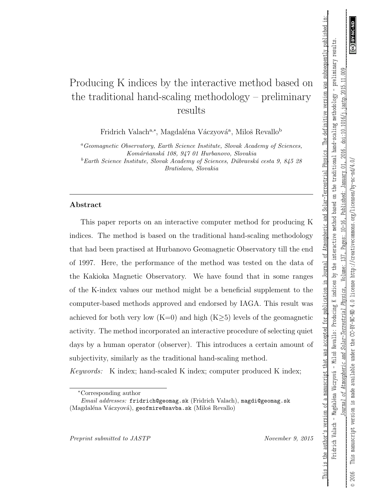$000$ 

doi:10.1016/j.jastp.2015.11.

2016.

 $\overline{c}$ 

January

Published:

 $10 - 16$ .

Pages:

137,

Volume:

Physics.

Solar-Terrestrial

# Producing K indices by the interactive method based on the traditional hand-scaling methodology – preliminary results

Fridrich Valach<sup>a,∗</sup>, Magdaléna Váczyová<sup>a</sup>, Miloš Revallo<sup>b</sup>

<sup>a</sup>Geomagnetic Observatory, Earth Science Institute, Slovak Academy of Sciences, Komárňanská 108, 947 01 Hurbanovo, Slovakia

<sup>b</sup>Earth Science Institute, Slovak Academy of Sciences, Dúbravská cesta 9, 845 28 Bratislava, Slovakia

### Abstract

This paper reports on an interactive computer method for producing K indices. The method is based on the traditional hand-scaling methodology that had been practised at Hurbanovo Geomagnetic Observatory till the end of 1997. Here, the performance of the method was tested on the data of the Kakioka Magnetic Observatory. We have found that in some ranges of the K-index values our method might be a beneficial supplement to the computer-based methods approved and endorsed by IAGA. This result was achieved for both very low  $(K=0)$  and high  $(K>5)$  levels of the geomagnetic activity. The method incorporated an interactive procedure of selecting quiet days by a human operator (observer). This introduces a certain amount of subjectivity, similarly as the traditional hand-scaling method.

Keywords: K index; hand-scaled K index; computer produced K index;

Preprint submitted to JASTP November 9, 2015

\_\_\_This is the author's version of a manuscript that was accepted for publication in Journal of Atmospheric and Solar-Terrestrial Physics. The definitive version was subsequently published in:\_\_ Fridrich Valach – Magdaléna Váczyová – Miloš Revallo: Producing K indices by the interactive method based on the traditional hand-scaling methodology – preliminary results. *\_\_\_\_\_\_\_\_\_\_\_\_\_\_\_\_\_\_\_\_\_\_\_\_\_\_\_\_\_Journal of Atmospheric and Solar-Terrestrial Physics* , Volume: 137, Pages: 10–16, Published: January 01, 2016. doi:10.1016/j.jastp.2015.11.009\_\_\_\_\_\_\_\_\_\_\_\_\_\_\_\_\_\_\_\_\_\_\_\_

Váczyová - Miloš Revallo: Producing K indices by the interactive method based on the traditional hand-scaling methodology - preliminary results

This is the author's version of a manuscript that was accepted for publication in Journal of Atmospheric and Solar-Terrestrial Physics. The definitive version was subsequently published in

© 2016 This manuscript version is made available under the CC-BY-NC-ND 4.0 license http://creativecommons.org/licenses/by-nc-nd/4.0/

the

available under Atmospheric and

is made

version

This manuscript

2016  $\odot$ 

ОÍ

burnal

Fridrich Valach - Magdaléna

<sup>∗</sup>Corresponding author

Email addresses: fridrich@geomag.sk (Fridrich Valach), magdi@geomag.sk (Magdaléna Váczyová), geofmire@savba.sk (Miloš Revallo)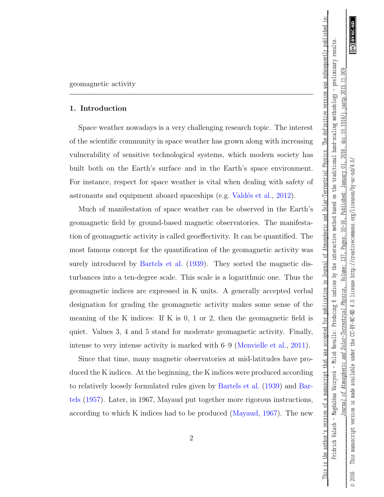$009$ 

doi:10.1016/j.jastp.2015.11.

2016.

 $\overline{c}$ 

January

Published:

 $10 - 16$ ,

Pages:

137.

Volume:

Physics.

Solar-Terrestrial

The definitive version was subsequently published in

\_\_\_This is the author's version of a manuscript that was accepted for publication in Journal of Atmospheric and Solar-Terrestrial Physics. The definitive version was subsequently published in:\_\_ Fridrich Valach – Magdaléna Váczyová – Miloš Revallo: Producing K indices by the interactive method based on the traditional hand-scaling methodology – preliminary results.

This is the author's version of a manuscript that was accepted for publication in Journal of Atmospheric and Solar-Terrestrial Physics.

Fridrich Valach - Magdaléna Váczyová - Miloš Revallo: Producing K indices by the interactive method based on the traditional hand-scaling methodology - preliminary results

© 2016 This manuscript version is made available under the CC-BY-NC-ND 4.0 license http://creativecommons.org/licenses/by-nc-nd/4.0/

the

available under Atmospheric and

is made of *lournal* 

version

This manuscript

2016  $\odot$ 

CC-BY-NC-ND 4.0 license

http://creativecommons.org/licenses/by-nc-nd/4.0/

### <span id="page-1-0"></span>1. Introduction

Space weather nowadays is a very challenging research topic. The interest of the scientific community in space weather has grown along with increasing vulnerability of sensitive technological systems, which modern society has built both on the Earth's surface and in the Earth's space environment. For instance, respect for space weather is vital when dealing with safety of astronauts and equipment aboard spaceships (e.g. Valdés et al., [2012\)](#page-24-0).

Much of manifestation of space weather can be observed in the Earth's geomagnetic field by ground-based magnetic observatories. The manifestation of geomagnetic activity is called geoeffectivity. It can be quantified. The most famous concept for the quantification of the geomagnetic activity was surely introduced by [Bartels et al.](#page-21-0) [\(1939\)](#page-21-0). They sorted the magnetic disturbances into a ten-degree scale. This scale is a logarithmic one. Thus the geomagnetic indices are expressed in K units. A generally accepted verbal designation for grading the geomagnetic activity makes some sense of the meaning of the K indices: If K is 0, 1 or 2, then the geomagnetic field is quiet. Values 3, 4 and 5 stand for moderate geomagnetic activity. Finally, intense to very intense activity is marked with 6–9 [\(Menvielle et al.,](#page-23-0) [2011\)](#page-23-0).

Since that time, many magnetic observatories at mid-latitudes have produced the K indices. At the beginning, the K indices were produced according to relatively loosely formulated rules given by [Bartels et al.](#page-21-0) [\(1939\)](#page-21-0) and [Bar](#page-21-1)[tels](#page-21-1) [\(1957\)](#page-21-1). Later, in 1967, Mayaud put together more rigorous instructions, according to which K indices had to be produced [\(Mayaud,](#page-22-0) [1967\)](#page-22-0). The new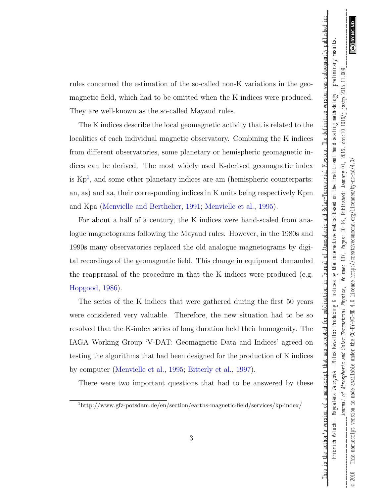This is the author's version of a manuscript that was accepted for publication in Journal of Atmospheric and Solar-Terrestrial Physics. The definitive version was subsequently published in

rules concerned the estimation of the so-called non-K variations in the geomagnetic field, which had to be omitted when the K indices were produced. They are well-known as the so-called Mayaud rules.

The K indices describe the local geomagnetic activity that is related to the localities of each individual magnetic observatory. Combining the K indices from different observatories, some planetary or hemispheric geomagnetic indices can be derived. The most widely used K-derived geomagnetic index is  $\mathrm{Kp}^1$  $\mathrm{Kp}^1$ , and some other planetary indices are am (hemispheric counterparts: an, as) and aa, their corresponding indices in K units being respectively Kpm and Kpa [\(Menvielle and Berthelier,](#page-22-1) [1991;](#page-22-1) [Menvielle et al.,](#page-22-2) [1995\)](#page-22-2).

For about a half of a century, the K indices were hand-scaled from analogue magnetograms following the Mayaud rules. However, in the 1980s and 1990s many observatories replaced the old analogue magnetograms by digital recordings of the geomagnetic field. This change in equipment demanded the reappraisal of the procedure in that the K indices were produced (e.g. [Hopgood,](#page-21-2) [1986\)](#page-21-2).

The series of the K indices that were gathered during the first 50 years were considered very valuable. Therefore, the new situation had to be so resolved that the K-index series of long duration held their homogenity. The IAGA Working Group 'V-DAT: Geomagnetic Data and Indices' agreed on testing the algorithms that had been designed for the production of K indices by computer [\(Menvielle et al.,](#page-22-2) [1995;](#page-22-2) [Bitterly et al.,](#page-21-3) [1997\)](#page-21-3).

There were two important questions that had to be answered by these

<span id="page-2-0"></span><sup>1</sup>http://www.gfz-potsdam.de/en/section/earths-magnetic-field/services/kp-index/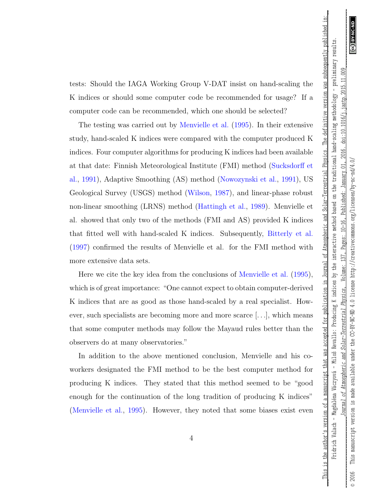This is the author's version of a manuscript that was accepted for publication in Journal of Atmospheric and Solar-Terrestrial Physics. The definitive version was subsequently published in

tests: Should the IAGA Working Group V-DAT insist on hand-scaling the K indices or should some computer code be recommended for usage? If a computer code can be recommended, which one should be selected?

The testing was carried out by [Menvielle et al.](#page-22-2) [\(1995\)](#page-22-2). In their extensive study, hand-scaled K indices were compared with the computer produced K indices. Four computer algorithms for producing K indices had been available at that date: Finnish Meteorological Institute (FMI) method [\(Sucksdorff et](#page-24-1) [al.,](#page-24-1) [1991\)](#page-24-1), Adaptive Smoothing (AS) method [\(Nowozynski et al.,](#page-23-1) [1991\)](#page-23-1), US Geological Survey (USGS) method [\(Wilson,](#page-24-2) [1987\)](#page-24-2), and linear-phase robust non-linear smoothing (LRNS) method [\(Hattingh et al.,](#page-21-4) [1989\)](#page-21-4). Menvielle et al. showed that only two of the methods (FMI and AS) provided K indices that fitted well with hand-scaled K indices. Subsequently, [Bitterly et al.](#page-21-3) [\(1997\)](#page-21-3) confirmed the results of Menvielle et al. for the FMI method with more extensive data sets.

Here we cite the key idea from the conclusions of [Menvielle et al.](#page-22-2) [\(1995\)](#page-22-2), which is of great importance: "One cannot expect to obtain computer-derived K indices that are as good as those hand-scaled by a real specialist. However, such specialists are becoming more and more scarce [. . .], which means that some computer methods may follow the Mayaud rules better than the observers do at many observatories."

In addition to the above mentioned conclusion, Menvielle and his coworkers designated the FMI method to be the best computer method for producing K indices. They stated that this method seemed to be "good enough for the continuation of the long tradition of producing K indices" [\(Menvielle et al.,](#page-22-2) [1995\)](#page-22-2). However, they noted that some biases exist even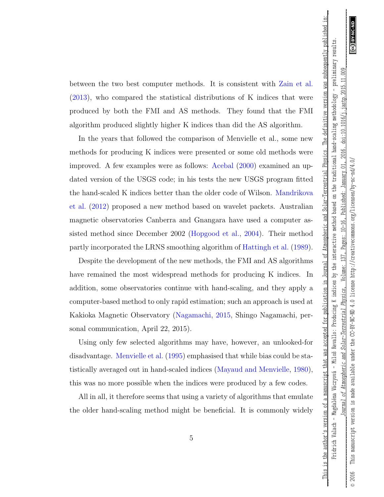This is the author's version of a manuscript that was accepted for publication in Journal of Atmospheric and Solar-Terrestrial Physics.

The definitive version was subsequently published in

between the two best computer methods. It is consistent with [Zain et al.](#page-24-3) [\(2013\)](#page-24-3), who compared the statistical distributions of K indices that were produced by both the FMI and AS methods. They found that the FMI algorithm produced slightly higher K indices than did the AS algorithm.

In the years that followed the comparison of Menvielle et al., some new methods for producing K indices were presented or some old methods were improved. A few examples were as follows: [Acebal](#page-20-0) [\(2000\)](#page-20-0) examined an updated version of the USGS code; in his tests the new USGS program fitted the hand-scaled K indices better than the older code of Wilson. [Mandrikova](#page-22-3) [et al.](#page-22-3) [\(2012\)](#page-22-3) proposed a new method based on wavelet packets. Australian magnetic observatories Canberra and Gnangara have used a computer assisted method since December 2002 [\(Hopgood et al.,](#page-21-5) [2004\)](#page-21-5). Their method partly incorporated the LRNS smoothing algorithm of [Hattingh et al.](#page-21-4) [\(1989\)](#page-21-4).

Despite the development of the new methods, the FMI and AS algorithms have remained the most widespread methods for producing K indices. In addition, some observatories continue with hand-scaling, and they apply a computer-based method to only rapid estimation; such an approach is used at Kakioka Magnetic Observatory [\(Nagamachi,](#page-23-2) [2015,](#page-23-2) Shingo Nagamachi, personal communication, April 22, 2015).

Using only few selected algorithms may have, however, an unlooked-for disadvantage. [Menvielle et al.](#page-22-2) [\(1995\)](#page-22-2) emphasised that while bias could be statistically averaged out in hand-scaled indices [\(Mayaud and Menvielle,](#page-22-4) [1980\)](#page-22-4), this was no more possible when the indices were produced by a few codes.

All in all, it therefore seems that using a variety of algorithms that emulate the older hand-scaling method might be beneficial. It is commonly widely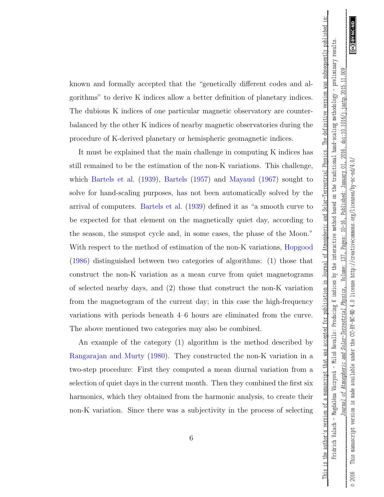This is the author's version of a manuscript that was accepted for publication in Journal of Atmospheric and Solar-Terrestrial Physics. The definitive version was subsequently published in

known and formally accepted that the "genetically different codes and algorithms" to derive K indices allow a better definition of planetary indices. The dubious K indices of one particular magnetic observatory are counterbalanced by the other K indices of nearby magnetic observatories during the procedure of K-derived planetary or hemispheric geomagnetic indices.

It must be explained that the main challenge in computing K indices has still remained to be the estimation of the non-K variations. This challenge, which [Bartels et al.](#page-21-0) [\(1939\)](#page-21-0), [Bartels](#page-21-1) [\(1957\)](#page-21-1) and [Mayaud](#page-22-0) [\(1967\)](#page-22-0) sought to solve for hand-scaling purposes, has not been automatically solved by the arrival of computers. [Bartels et al.](#page-21-0) [\(1939\)](#page-21-0) defined it as "a smooth curve to be expected for that element on the magnetically quiet day, according to the season, the sunspot cycle and, in some cases, the phase of the Moon." With respect to the method of estimation of the non-K variations, [Hopgood](#page-21-2) [\(1986\)](#page-21-2) distinguished between two categories of algorithms: (1) those that construct the non-K variation as a mean curve from quiet magnetograms of selected nearby days, and (2) those that construct the non-K variation from the magnetogram of the current day; in this case the high-frequency variations with periods beneath 4–6 hours are eliminated from the curve. The above mentioned two categories may also be combined.

An example of the category (1) algorithm is the method described by [Rangarajan and Murty](#page-23-3) [\(1980\)](#page-23-3). They constructed the non-K variation in a two-step procedure: First they computed a mean diurnal variation from a selection of quiet days in the current month. Then they combined the first six harmonics, which they obtained from the harmonic analysis, to create their non-K variation. Since there was a subjectivity in the process of selecting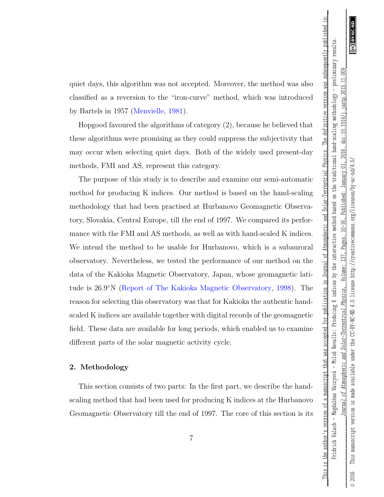This is the author's version of a manuscript that was accepted for publication in Journal of Atmospheric and Solar-Terrestrial Physics. The definitive version was subsequently published in

quiet days, this algorithm was not accepted. Moreover, the method was also classified as a reversion to the "iron-curve" method, which was introduced by Bartels in 1957 [\(Menvielle,](#page-22-5) [1981\)](#page-22-5).

Hopgood favoured the algorithms of category (2), because he believed that these algorithms were promising as they could suppress the subjectivity that may occur when selecting quiet days. Both of the widely used present-day methods, FMI and AS, represent this category.

The purpose of this study is to describe and examine our semi-automatic method for producing K indices. Our method is based on the hand-scaling methodology that had been practised at Hurbanovo Geomagnetic Observatory, Slovakia, Central Europe, till the end of 1997. We compared its performance with the FMI and AS methods, as well as with hand-scaled K indices. We intend the method to be usable for Hurbanovo, which is a subauroral observatory. Nevertheless, we tested the performance of our method on the data of the Kakioka Magnetic Observatory, Japan, whose geomagnetic latitude is 26.9◦N [\(Report of The Kakioka Magnetic Observatory,](#page-23-4) [1998\)](#page-23-4). The reason for selecting this observatory was that for Kakioka the authentic handscaled K indices are available together with digital records of the geomagnetic field. These data are available for long periods, which enabled us to examine different parts of the solar magnetic activity cycle.

### 2. Methodology

This section consists of two parts: In the first part, we describe the handscaling method that had been used for producing K indices at the Hurbanovo Geomagnetic Observatory till the end of 1997. The core of this section is its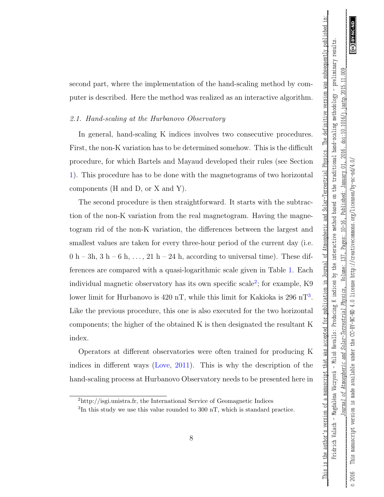This is the author's version of a manuscript that was accepted for publication in Journal of Atmospheric and Solar-Terrestrial Physics. The definitive version was subsequently published in

second part, where the implementation of the hand-scaling method by computer is described. Here the method was realized as an interactive algorithm.

### <span id="page-7-2"></span>2.1. Hand-scaling at the Hurbanovo Observatory

In general, hand-scaling K indices involves two consecutive procedures. First, the non-K variation has to be determined somehow. This is the difficult procedure, for which Bartels and Mayaud developed their rules (see Section [1\)](#page-1-0). This procedure has to be done with the magnetograms of two horizontal components (H and D, or X and Y).

The second procedure is then straightforward. It starts with the subtraction of the non-K variation from the real magnetogram. Having the magnetogram rid of the non-K variation, the differences between the largest and smallest values are taken for every three-hour period of the current day (i.e.  $0 h - 3h$ ,  $3 h - 6 h$ , ...,  $21 h - 24 h$ , according to universal time). These differences are compared with a quasi-logarithmic scale given in Table [1.](#page-25-0) Each individual magnetic observatory has its own specific scale<sup>[2](#page-7-0)</sup>; for example, K9 lower limit for Hurbanovo is 420 nT, while this limit for Kakioka is 296 nT<sup>[3](#page-7-1)</sup>. Like the previous procedure, this one is also executed for the two horizontal components; the higher of the obtained K is then designated the resultant K index.

Operators at different observatories were often trained for producing K indices in different ways [\(Love,](#page-22-6) [2011\)](#page-22-6). This is why the description of the hand-scaling process at Hurbanovo Observatory needs to be presented here in

<span id="page-7-1"></span><span id="page-7-0"></span> $^{2}$ http://isgi.unistra.fr, the International Service of Geomagnetic Indices

<sup>&</sup>lt;sup>3</sup>In this study we use this value rounded to 300 nT, which is standard practice.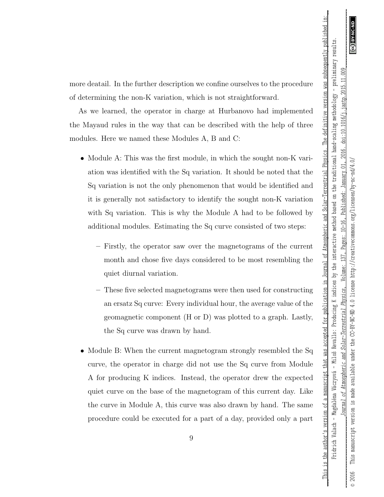\_\_\_This is the author's version of a manuscript that was accepted for publication in Journal of Atmospheric and Solar-Terrestrial Physics. The definitive version was subsequently published in:\_\_

This is the author's version of a manuscript that was accepted for publication in Journal of Atmospheric and Solar-Terrestrial Physics. The definitive version was subsequently published in

more deatail. In the further description we confine ourselves to the procedure of determining the non-K variation, which is not straightforward.

As we learned, the operator in charge at Hurbanovo had implemented the Mayaud rules in the way that can be described with the help of three modules. Here we named these Modules A, B and C:

- Module A: This was the first module, in which the sought non-K variation was identified with the Sq variation. It should be noted that the Sq variation is not the only phenomenon that would be identified and it is generally not satisfactory to identify the sought non-K variation with Sq variation. This is why the Module A had to be followed by additional modules. Estimating the Sq curve consisted of two steps:
	- Firstly, the operator saw over the magnetograms of the current month and chose five days considered to be most resembling the quiet diurnal variation.
	- These five selected magnetograms were then used for constructing an ersatz Sq curve: Every individual hour, the average value of the geomagnetic component (H or D) was plotted to a graph. Lastly, the Sq curve was drawn by hand.
- Module B: When the current magnetogram strongly resembled the Sq curve, the operator in charge did not use the Sq curve from Module A for producing K indices. Instead, the operator drew the expected quiet curve on the base of the magnetogram of this current day. Like the curve in Module A, this curve was also drawn by hand. The same procedure could be executed for a part of a day, provided only a part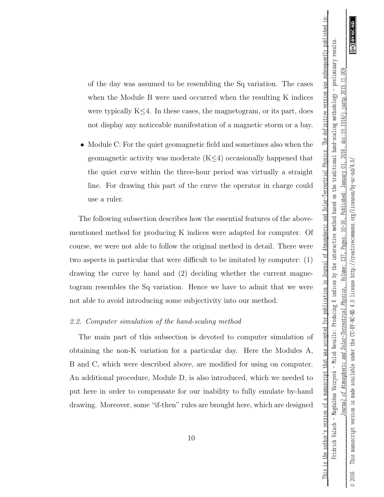This is the author's version of a manuscript that was accepted for publication in Journal of Atmospheric and Solar-Terrestrial Physics. The definitive version was subsequently published in

of the day was assumed to be resembling the Sq variation. The cases when the Module B were used occurred when the resulting K indices were typically K≤4. In these cases, the magnetogram, or its part, does not display any noticeable manifestation of a magnetic storm or a bay.

• Module C: For the quiet geomagnetic field and sometimes also when the geomagnetic activity was moderate (K≤4) occasionally happened that the quiet curve within the three-hour period was virtually a straight line. For drawing this part of the curve the operator in charge could use a ruler.

The following subsection describes how the essential features of the abovementioned method for producing K indices were adapted for computer. Of course, we were not able to follow the original method in detail. There were two aspects in particular that were difficult to be imitated by computer: (1) drawing the curve by hand and (2) deciding whether the current magnetogram resembles the Sq variation. Hence we have to admit that we were not able to avoid introducing some subjectivity into our method.

### <span id="page-9-0"></span>2.2. Computer simulation of the hand-scaling method

The main part of this subsection is devoted to computer simulation of obtaining the non-K variation for a particular day. Here the Modules A, B and C, which were described above, are modified for using on computer. An additional procedure, Module D, is also introduced, which we needed to put here in order to compensate for our inability to fully emulate by-hand drawing. Moreover, some "if-then" rules are brought here, which are designed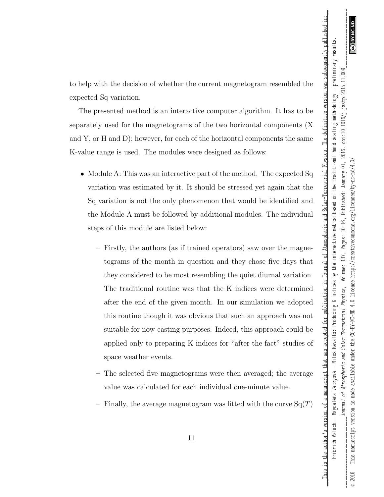This is the author's version of a manuscript that was accepted for publication in Journal of Atmospheric and Solar-Terrestrial Physics. The definitive version was subsequently published in

to help with the decision of whether the current magnetogram resembled the expected Sq variation.

The presented method is an interactive computer algorithm. It has to be separately used for the magnetograms of the two horizontal components (X and  $Y$ , or  $H$  and  $D$ ); however, for each of the horizontal components the same K-value range is used. The modules were designed as follows:

- Module A: This was an interactive part of the method. The expected Sq variation was estimated by it. It should be stressed yet again that the Sq variation is not the only phenomenon that would be identified and the Module A must be followed by additional modules. The individual steps of this module are listed below:
	- Firstly, the authors (as if trained operators) saw over the magnetograms of the month in question and they chose five days that they considered to be most resembling the quiet diurnal variation. The traditional routine was that the K indices were determined after the end of the given month. In our simulation we adopted this routine though it was obvious that such an approach was not suitable for now-casting purposes. Indeed, this approach could be applied only to preparing K indices for "after the fact" studies of space weather events.
	- The selected five magnetograms were then averaged; the average value was calculated for each individual one-minute value.
	- Finally, the average magnetogram was fitted with the curve  $Sq(T)$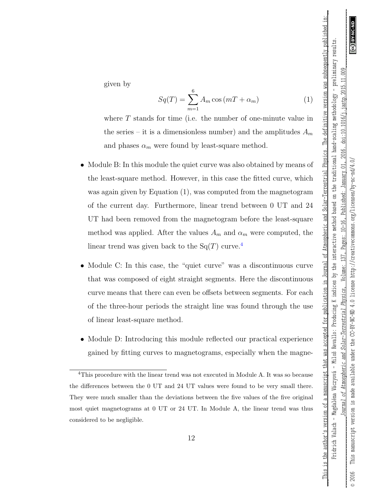*\_\_\_\_\_\_\_\_\_\_\_\_\_\_\_\_\_\_\_\_\_\_\_\_\_\_\_\_\_Journal of Atmospheric and Solar-Terrestrial Physics* , Volume: 137, Pages: 10–16, Published: January 01, 2016. doi:10.1016/j.jastp.2015.11.009\_\_\_\_\_\_\_\_\_\_\_\_\_\_\_\_\_\_\_\_\_\_\_\_ \_\_\_This is the author's version of a manuscript that was accepted for publication in Journal of Atmospheric and Solar-Terrestrial Physics. The definitive version was subsequently published in:\_\_ This is the author's version of a manuscript that was accepted for publication in Journal of Atmospheric and Solar-Terrestrial Physics. The definitive version was subsequently published in Fridrich Valach – Magdaléna Váczyová – Miloš Revallo: Producing K indices by the interactive method based on the traditional hand-scaling methodology – preliminary results. Fridrich Valach - Magdaléna Váczyová - Miloš Revallo: Producing K indices by the interactive method based on the traditional hand-scaling methodology - preliminary results  $009$ doi:10.1016/j.jastp.2015.11 2016. CC-BY-NO-ND 4.0 license http://creativecommons.org/licenses/by-nc-nd/4.0/  $\overline{C}$ January Published:  $10 - 16$ , Pages: Volume: Physics Solar-Terrestrial Atmospheric and  $\mathcal{L}$ lournal 2016

© 2016 This manuscript version is made available under the CC-BY-NC-ND 4.0 license http://creativecommons.org/licenses/by-nc-nd/4.0/

the

available under

is made

version

This manuscript

 $\odot$ 

given by

$$
Sq(T) = \sum_{m=1}^{6} A_m \cos\left(mT + \alpha_m\right) \tag{1}
$$

where  $T$  stands for time (i.e. the number of one-minute value in the series – it is a dimensionless number) and the amplitudes  $A_m$ and phases  $\alpha_m$  were found by least-square method.

- Module B: In this module the quiet curve was also obtained by means of the least-square method. However, in this case the fitted curve, which was again given by Equation (1), was computed from the magnetogram of the current day. Furthermore, linear trend between 0 UT and 24 UT had been removed from the magnetogram before the least-square method was applied. After the values  $A_m$  and  $\alpha_m$  were computed, the linear trend was given back to the  $Sq(T)$  curve.<sup>[4](#page-11-0)</sup>
- Module C: In this case, the "quiet curve" was a discontinuous curve that was composed of eight straight segments. Here the discontinuous curve means that there can even be offsets between segments. For each of the three-hour periods the straight line was found through the use of linear least-square method.
- Module D: Introducing this module reflected our practical experience gained by fitting curves to magnetograms, especially when the magne-

<span id="page-11-0"></span><sup>4</sup>This procedure with the linear trend was not executed in Module A. It was so because the differences between the 0 UT and 24 UT values were found to be very small there. They were much smaller than the deviations between the five values of the five original most quiet magnetograms at 0 UT or 24 UT. In Module A, the linear trend was thus considered to be negligible.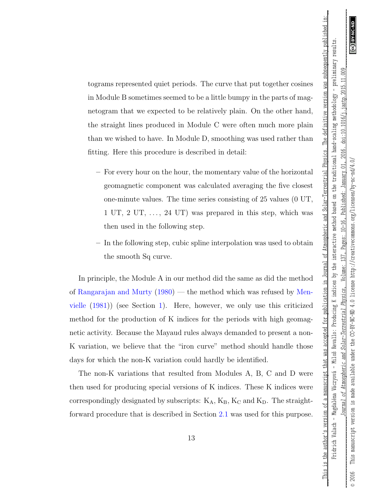\_\_\_This is the author's version of a manuscript that was accepted for publication in Journal of Atmospheric and Solar-Terrestrial Physics. The definitive version was subsequently published in:\_\_

This is the author's version of a manuscript that was accepted for publication in Journal of Atmospheric and Solar-Terrestrial Physics. The definitive version was subsequently published in

tograms represented quiet periods. The curve that put together cosines in Module B sometimes seemed to be a little bumpy in the parts of magnetogram that we expected to be relatively plain. On the other hand, the straight lines produced in Module C were often much more plain than we wished to have. In Module D, smoothing was used rather than fitting. Here this procedure is described in detail:

- For every hour on the hour, the momentary value of the horizontal geomagnetic component was calculated averaging the five closest one-minute values. The time series consisting of 25 values (0 UT, 1 UT, 2 UT,  $\dots$ , 24 UT) was prepared in this step, which was then used in the following step.
- In the following step, cubic spline interpolation was used to obtain the smooth Sq curve.

In principle, the Module A in our method did the same as did the method of [Rangarajan and Murty](#page-23-3) [\(1980\)](#page-23-3) — the method which was refused by [Men](#page-22-5)[vielle](#page-22-5) [\(1981\)](#page-22-5)) (see Section [1\)](#page-1-0). Here, however, we only use this criticized method for the production of K indices for the periods with high geomagnetic activity. Because the Mayaud rules always demanded to present a non-K variation, we believe that the "iron curve" method should handle those days for which the non-K variation could hardly be identified.

The non-K variations that resulted from Modules A, B, C and D were then used for producing special versions of K indices. These K indices were correspondingly designated by subscripts:  $K_A$ ,  $K_B$ ,  $K_C$  and  $K_D$ . The straightforward procedure that is described in Section [2.1](#page-7-2) was used for this purpose.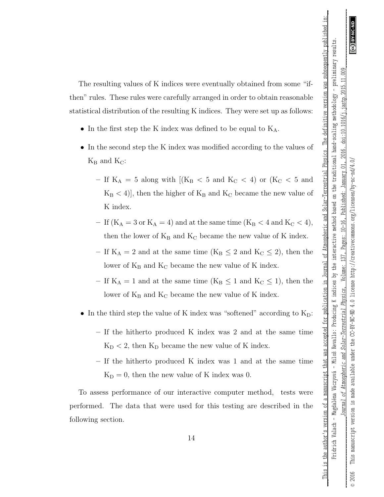This is the author's version of a manuscript that was accepted for publication in Journal of Atmospheric and Solar-Terrestrial Physics. The definitive version was subsequently published in

The resulting values of K indices were eventually obtained from some "ifthen" rules. These rules were carefully arranged in order to obtain reasonable statistical distribution of the resulting K indices. They were set up as follows:

- In the first step the K index was defined to be equal to  $K_A$ .
- In the second step the K index was modified according to the values of  $K_B$  and  $K_C$ :
	- If  $K_A = 5$  along with  $[(K_B < 5 \text{ and } K_C < 4) \text{ or } (K_C < 5 \text{ and }$  $K_B < 4$ ], then the higher of  $K_B$  and  $K_C$  became the new value of K index.
	- If  $(K_A = 3 \text{ or } K_A = 4)$  and at the same time  $(K_B < 4 \text{ and } K_C < 4)$ , then the lower of  $K_B$  and  $K_C$  became the new value of K index.
	- If  $K_A = 2$  and at the same time ( $K_B \leq 2$  and  $K_C \leq 2$ ), then the lower of  $K_B$  and  $K_C$  became the new value of K index.
	- If  $K_A = 1$  and at the same time  $(K_B \leq 1 \text{ and } K_C \leq 1)$ , then the lower of  $K_B$  and  $K_C$  became the new value of K index.
- In the third step the value of K index was "softened" according to  $K_D$ :
	- If the hitherto produced K index was 2 and at the same time  $K_D < 2$ , then  $K_D$  became the new value of K index.
	- If the hitherto produced K index was 1 and at the same time  $K_D = 0$ , then the new value of K index was 0.

To assess performance of our interactive computer method, tests were performed. The data that were used for this testing are described in the following section.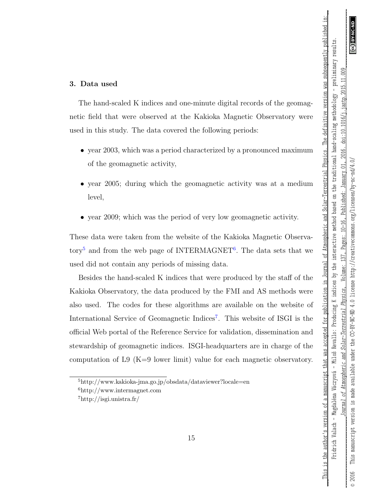This is the author's version of a manuscript that was accepted for publication in Journal of Atmospheric and Solar-Terrestrial Physics. The definitive version was subsequently published in

### 3. Data used

The hand-scaled K indices and one-minute digital records of the geomagnetic field that were observed at the Kakioka Magnetic Observatory were used in this study. The data covered the following periods:

- year 2003, which was a period characterized by a pronounced maximum of the geomagnetic activity,
- year 2005; during which the geomagnetic activity was at a medium level,
- year 2009; which was the period of very low geomagnetic activity.

These data were taken from the website of the Kakioka Magnetic Observa-tory<sup>[5](#page-14-0)</sup> and from the web page of INTERMAGNET<sup>[6](#page-14-1)</sup>. The data sets that we used did not contain any periods of missing data.

Besides the hand-scaled K indices that were produced by the staff of the Kakioka Observatory, the data produced by the FMI and AS methods were also used. The codes for these algorithms are available on the website of International Service of Geomagnetic Indices<sup>[7](#page-14-2)</sup>. This website of ISGI is the official Web portal of the Reference Service for validation, dissemination and stewardship of geomagnetic indices. ISGI-headquarters are in charge of the computation of L9  $(K=9)$  lower limit) value for each magnetic observatory.

<span id="page-14-1"></span><span id="page-14-0"></span><sup>5</sup>http://www.kakioka-jma.go.jp/obsdata/dataviewer?locale=en <sup>6</sup>http://www.intermagnet.com

<span id="page-14-2"></span> $7$ http://isgi.unistra.fr/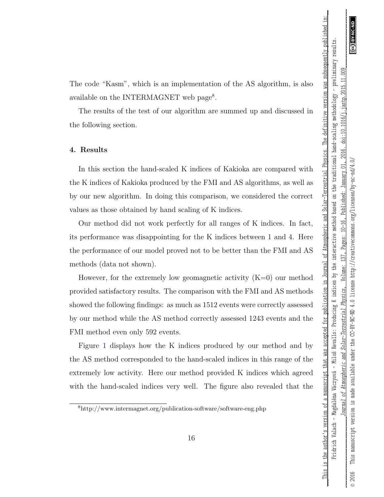This is the author's version of a manuscript that was accepted for publication in Journal of Atmospheric and Solar-Terrestrial Physics. The definitive version was subsequently published

The code "Kasm", which is an implementation of the AS algorithm, is also available on the INTERMAGNET web page<sup>[8](#page-15-0)</sup>.

The results of the test of our algorithm are summed up and discussed in the following section.

### <span id="page-15-1"></span>4. Results

In this section the hand-scaled K indices of Kakioka are compared with the K indices of Kakioka produced by the FMI and AS algorithms, as well as by our new algorithm. In doing this comparison, we considered the correct values as those obtained by hand scaling of K indices.

Our method did not work perfectly for all ranges of K indices. In fact, its performance was disappointing for the K indices between 1 and 4. Here the performance of our model proved not to be better than the FMI and AS methods (data not shown).

However, for the extremely low geomagnetic activity  $(K=0)$  our method provided satisfactory results. The comparison with the FMI and AS methods showed the following findings: as much as 1512 events were correctly assessed by our method while the AS method correctly assessed 1243 events and the FMI method even only 592 events.

Figure [1](#page-26-0) displays how the K indices produced by our method and by the AS method corresponded to the hand-scaled indices in this range of the extremely low activity. Here our method provided K indices which agreed with the hand-scaled indices very well. The figure also revealed that the

<span id="page-15-0"></span><sup>8</sup>http://www.intermagnet.org/publication-software/software-eng.php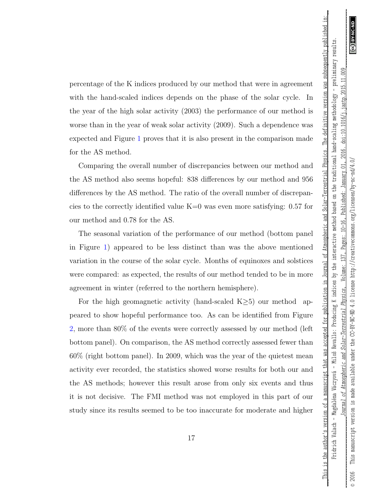\_\_\_This is the author's version of a manuscript that was accepted for publication in Journal of Atmospheric and Solar-Terrestrial Physics. The definitive version was subsequently published in:\_\_

This is the author's version of a manuscript that was accepted for publication in Journal of Atmospheric and Solar-Terrestrial Physics. The definitive version was subsequently published in

percentage of the K indices produced by our method that were in agreement with the hand-scaled indices depends on the phase of the solar cycle. In the year of the high solar activity (2003) the performance of our method is worse than in the year of weak solar activity (2009). Such a dependence was expected and Figure [1](#page-26-0) proves that it is also present in the comparison made for the AS method.

Comparing the overall number of discrepancies between our method and the AS method also seems hopeful: 838 differences by our method and 956 differences by the AS method. The ratio of the overall number of discrepancies to the correctly identified value K=0 was even more satisfying: 0.57 for our method and 0.78 for the AS.

The seasonal variation of the performance of our method (bottom panel in Figure [1\)](#page-26-0) appeared to be less distinct than was the above mentioned variation in the course of the solar cycle. Months of equinoxes and solstices were compared: as expected, the results of our method tended to be in more agreement in winter (referred to the northern hemisphere).

For the high geomagnetic activity (hand-scaled K $\geq$ 5) our method appeared to show hopeful performance too. As can be identified from Figure [2,](#page-27-0) more than 80% of the events were correctly assessed by our method (left bottom panel). On comparison, the AS method correctly assessed fewer than 60% (right bottom panel). In 2009, which was the year of the quietest mean activity ever recorded, the statistics showed worse results for both our and the AS methods; however this result arose from only six events and thus it is not decisive. The FMI method was not employed in this part of our study since its results seemed to be too inaccurate for moderate and higher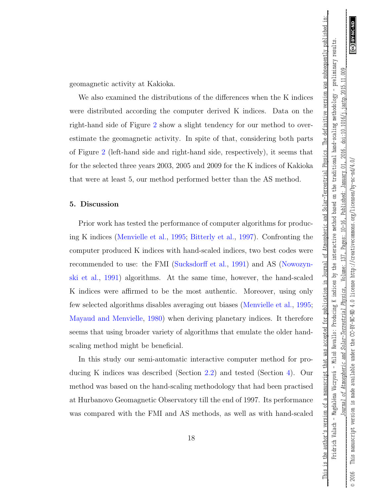\_\_\_This is the author's version of a manuscript that was accepted for publication in Journal of Atmospheric and Solar-Terrestrial Physics. The definitive version was subsequently published in:\_\_

This is the author's version of a manuscript that was accepted for publication in Journal of Atmospheric and Solar-Terrestrial Physics. The definitive version was subsequently published in

geomagnetic activity at Kakioka.

We also examined the distributions of the differences when the K indices were distributed according the computer derived K indices. Data on the right-hand side of Figure [2](#page-27-0) show a slight tendency for our method to overestimate the geomagnetic activity. In spite of that, considering both parts of Figure [2](#page-27-0) (left-hand side and right-hand side, respectively), it seems that for the selected three years 2003, 2005 and 2009 for the K indices of Kakioka that were at least 5, our method performed better than the AS method.

### 5. Discussion

Prior work has tested the performance of computer algorithms for producing K indices [\(Menvielle et al.,](#page-22-2) [1995;](#page-22-2) [Bitterly et al.,](#page-21-3) [1997\)](#page-21-3). Confronting the computer produced K indices with hand-scaled indices, two best codes were recommended to use: the FMI [\(Sucksdorff et al.,](#page-24-1) [1991\)](#page-24-1) and AS [\(Nowozyn](#page-23-1)[ski et al.,](#page-23-1) [1991\)](#page-23-1) algorithms. At the same time, however, the hand-scaled K indices were affirmed to be the most authentic. Moreover, using only few selected algorithms disables averaging out biases [\(Menvielle et al.,](#page-22-2) [1995;](#page-22-2) [Mayaud and Menvielle,](#page-22-4) [1980\)](#page-22-4) when deriving planetary indices. It therefore seems that using broader variety of algorithms that emulate the older handscaling method might be beneficial.

In this study our semi-automatic interactive computer method for producing K indices was described (Section [2.2\)](#page-9-0) and tested (Section [4\)](#page-15-1). Our method was based on the hand-scaling methodology that had been practised at Hurbanovo Geomagnetic Observatory till the end of 1997. Its performance was compared with the FMI and AS methods, as well as with hand-scaled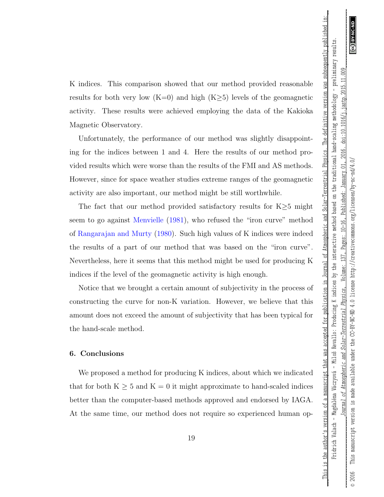This is the author's version of a manuscript that was accepted for publication in Journal of Atmospheric and Solar-Terrestrial Physics. The definitive version was subsequently published in

K indices. This comparison showed that our method provided reasonable results for both very low (K=0) and high (K $\geq$ 5) levels of the geomagnetic activity. These results were achieved employing the data of the Kakioka Magnetic Observatory.

Unfortunately, the performance of our method was slightly disappointing for the indices between 1 and 4. Here the results of our method provided results which were worse than the results of the FMI and AS methods. However, since for space weather studies extreme ranges of the geomagnetic activity are also important, our method might be still worthwhile.

The fact that our method provided satisfactory results for  $K \geq 5$  might seem to go against [Menvielle](#page-22-5) [\(1981\)](#page-22-5), who refused the "iron curve" method of [Rangarajan and Murty](#page-23-3) [\(1980\)](#page-23-3). Such high values of K indices were indeed the results of a part of our method that was based on the "iron curve". Nevertheless, here it seems that this method might be used for producing K indices if the level of the geomagnetic activity is high enough.

Notice that we brought a certain amount of subjectivity in the process of constructing the curve for non-K variation. However, we believe that this amount does not exceed the amount of subjectivity that has been typical for the hand-scale method.

### 6. Conclusions

We proposed a method for producing K indices, about which we indicated that for both  $K \geq 5$  and  $K = 0$  it might approximate to hand-scaled indices better than the computer-based methods approved and endorsed by IAGA. At the same time, our method does not require so experienced human op-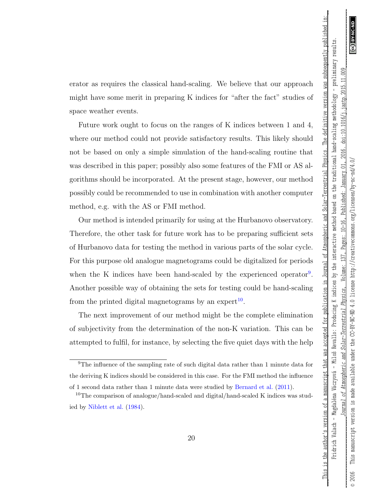This is the author's version of a manuscript that was accepted for publication in Journal of Atmospheric and Solar-Terrestrial Physics.

The definitive version was subsequently published in

erator as requires the classical hand-scaling. We believe that our approach might have some merit in preparing K indices for "after the fact" studies of space weather events.

Future work ought to focus on the ranges of K indices between 1 and 4, where our method could not provide satisfactory results. This likely should not be based on only a simple simulation of the hand-scaling routine that was described in this paper; possibly also some features of the FMI or AS algorithms should be incorporated. At the present stage, however, our method possibly could be recommended to use in combination with another computer method, e.g. with the AS or FMI method.

Our method is intended primarily for using at the Hurbanovo observatory. Therefore, the other task for future work has to be preparing sufficient sets of Hurbanovo data for testing the method in various parts of the solar cycle. For this purpose old analogue magnetograms could be digitalized for periods when the K indices have been hand-scaled by the experienced operator<sup>[9](#page-19-0)</sup>. Another possible way of obtaining the sets for testing could be hand-scaling from the printed digital magnetograms by an expert<sup>[10](#page-19-1)</sup>.

The next improvement of our method might be the complete elimination of subjectivity from the determination of the non-K variation. This can be attempted to fulfil, for instance, by selecting the five quiet days with the help

<span id="page-19-0"></span><sup>&</sup>lt;sup>9</sup>The influence of the sampling rate of such digital data rather than 1 minute data for the deriving K indices should be considered in this case. For the FMI method the influence of 1 second data rather than 1 minute data were studied by [Bernard et al.](#page-21-6) [\(2011\)](#page-21-6).

<span id="page-19-1"></span><sup>&</sup>lt;sup>10</sup>The comparison of analogue/hand-scaled and digital/hand-scaled K indices was studied by [Niblett et al.](#page-23-5) [\(1984\)](#page-23-5).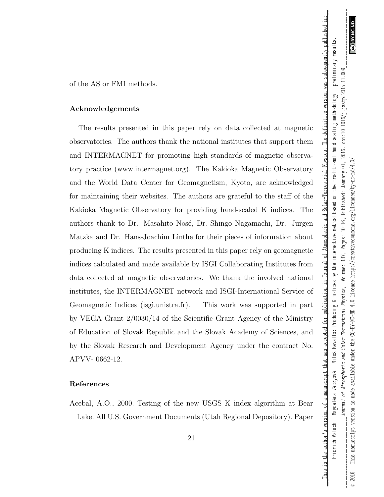\_\_\_This is the author's version of a manuscript that was accepted for publication in Journal of Atmospheric and Solar-Terrestrial Physics. The definitive version was subsequently published in:\_\_

This is the author's version of a manuscript that was accepted for publication in Journal of Atmospheric and Solar-Terrestrial Physics.

The definitive version was subsequently published in

of the AS or FMI methods.

### Acknowledgements

The results presented in this paper rely on data collected at magnetic observatories. The authors thank the national institutes that support them and INTERMAGNET for promoting high standards of magnetic observatory practice (www.intermagnet.org). The Kakioka Magnetic Observatory and the World Data Center for Geomagnetism, Kyoto, are acknowledged for maintaining their websites. The authors are grateful to the staff of the Kakioka Magnetic Observatory for providing hand-scaled K indices. The authors thank to Dr. Masahito Nosé, Dr. Shingo Nagamachi, Dr. Jürgen Matzka and Dr. Hans-Joachim Linthe for their pieces of information about producing K indices. The results presented in this paper rely on geomagnetic indices calculated and made available by ISGI Collaborating Institutes from data collected at magnetic observatories. We thank the involved national institutes, the INTERMAGNET network and ISGI-International Service of Geomagnetic Indices (isgi.unistra.fr). This work was supported in part by VEGA Grant 2/0030/14 of the Scientific Grant Agency of the Ministry of Education of Slovak Republic and the Slovak Academy of Sciences, and by the Slovak Research and Development Agency under the contract No. APVV- 0662-12.

### References

<span id="page-20-0"></span>Acebal, A.O., 2000. Testing of the new USGS K index algorithm at Bear Lake. All U.S. Government Documents (Utah Regional Depository). Paper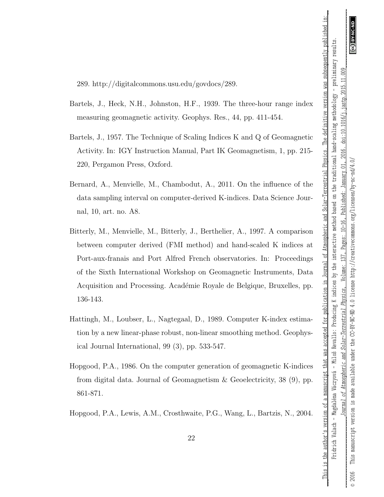\_\_\_This is the author's version of a manuscript that was accepted for publication in Journal of Atmospheric and Solar-Terrestrial Physics. The definitive version was subsequently published in:\_\_

This is the author's version of a manuscript that was accepted for publication in Journal of Atmospheric and Solar-Terrestrial Physics. The definitive version was subsequently published in

289. http://digitalcommons.usu.edu/govdocs/289.

- <span id="page-21-0"></span>Bartels, J., Heck, N.H., Johnston, H.F., 1939. The three-hour range index measuring geomagnetic activity. Geophys. Res., 44, pp. 411-454.
- <span id="page-21-1"></span>Bartels, J., 1957. The Technique of Scaling Indices K and Q of Geomagnetic Activity. In: IGY Instruction Manual, Part IK Geomagnetism, 1, pp. 215- 220, Pergamon Press, Oxford.
- <span id="page-21-6"></span>Bernard, A., Menvielle, M., Chambodut, A., 2011. On the influence of the data sampling interval on computer-derived K-indices. Data Science Journal, 10, art. no. A8.
- <span id="page-21-3"></span>Bitterly, M., Menvielle, M., Bitterly, J., Berthelier, A., 1997. A comparison between computer derived (FMI method) and hand-scaled K indices at Port-aux-franais and Port Alfred French observatories. In: Proceedings of the Sixth International Workshop on Geomagnetic Instruments, Data Acquisition and Processing. Académie Royale de Belgique, Bruxelles, pp. 136-143.
- <span id="page-21-4"></span>Hattingh, M., Loubser, L., Nagtegaal, D., 1989. Computer K-index estimation by a new linear-phase robust, non-linear smoothing method. Geophysical Journal International, 99 (3), pp. 533-547.
- <span id="page-21-2"></span>Hopgood, P.A., 1986. On the computer generation of geomagnetic K-indices from digital data. Journal of Geomagnetism & Geoelectricity, 38 (9), pp. 861-871.
- <span id="page-21-5"></span>Hopgood, P.A., Lewis, A.M., Crosthwaite, P.G., Wang, L., Bartzis, N., 2004.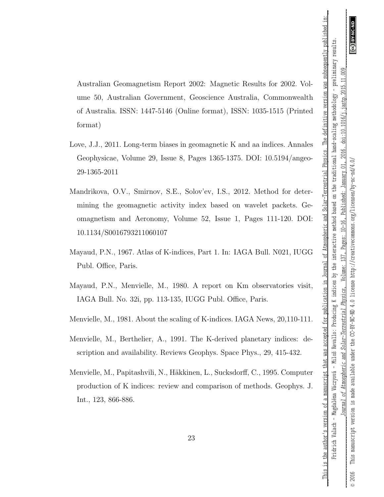This is the author's version of a manuscript that was accepted for publication in Journal of Atmospheric and Solar-Terrestrial Physics. The definitive version was subsequently published in

Australian Geomagnetism Report 2002: Magnetic Results for 2002. Volume 50, Australian Government, Geoscience Australia, Commonwealth of Australia. ISSN: 1447-5146 (Online format), ISSN: 1035-1515 (Printed format)

- <span id="page-22-6"></span>Love, J.J., 2011. Long-term biases in geomagnetic K and aa indices. Annales Geophysicae, Volume 29, Issue 8, Pages 1365-1375. DOI: 10.5194/angeo-29-1365-2011
- <span id="page-22-3"></span>Mandrikova, O.V., Smirnov, S.E., Solov'ev, I.S., 2012. Method for determining the geomagnetic activity index based on wavelet packets. Geomagnetism and Aeronomy, Volume 52, Issue 1, Pages 111-120. DOI: 10.1134/S0016793211060107
- <span id="page-22-0"></span>Mayaud, P.N., 1967. Atlas of K-indices, Part 1. In: IAGA Bull. N021, IUGG Publ. Office, Paris.
- <span id="page-22-4"></span>Mayaud, P.N., Menvielle, M., 1980. A report on Km observatories visit, IAGA Bull. No. 32i, pp. 113-135, IUGG Publ. Office, Paris.
- <span id="page-22-5"></span>Menvielle, M., 1981. About the scaling of K-indices. IAGA News, 20,110-111.
- <span id="page-22-1"></span>Menvielle, M., Berthelier, A., 1991. The K-derived planetary indices: description and availability. Reviews Geophys. Space Phys., 29, 415-432.
- <span id="page-22-2"></span>Menvielle, M., Papitashvili, N., Häkkinen, L., Sucksdorff, C., 1995. Computer production of K indices: review and comparison of methods. Geophys. J. Int., 123, 866-886.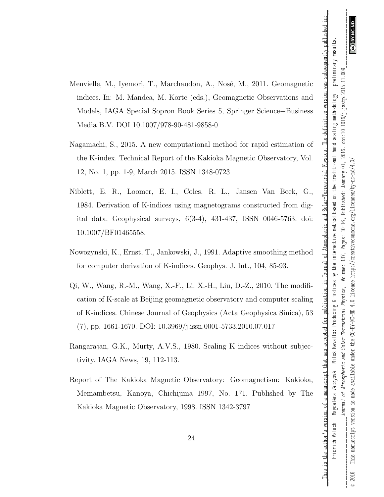This is the author's version of a manuscript that was accepted for publication in Journal of Atmospheric and Solar-Terrestrial Physics. The definitive version was subsequently published in

- <span id="page-23-0"></span>Menvielle, M., Iyemori, T., Marchaudon, A., Nosé, M., 2011. Geomagnetic indices. In: M. Mandea, M. Korte (eds.), Geomagnetic Observations and Models, IAGA Special Sopron Book Series 5, Springer Science+Business Media B.V. DOI 10.1007/978-90-481-9858-0
- <span id="page-23-2"></span>Nagamachi, S., 2015. A new computational method for rapid estimation of the K-index. Technical Report of the Kakioka Magnetic Observatory, Vol. 12, No. 1, pp. 1-9, March 2015. ISSN 1348-0723
- <span id="page-23-5"></span>Niblett, E. R., Loomer, E. I., Coles, R. L., Jansen Van Beek, G., 1984. Derivation of K-indices using magnetograms constructed from digital data. Geophysical surveys, 6(3-4), 431-437, ISSN 0046-5763. doi: 10.1007/BF01465558.
- <span id="page-23-1"></span>Nowozynski, K., Ernst, T., Jankowski, J., 1991. Adaptive smoothing method for computer derivation of K-indices. Geophys. J. Int., 104, 85-93.
- Qi, W., Wang, R.-M., Wang, X.-F., Li, X.-H., Liu, D.-Z., 2010. The modification of K-scale at Beijing geomagnetic observatory and computer scaling of K-indices. Chinese Journal of Geophysics (Acta Geophysica Sinica), 53 (7), pp. 1661-1670. DOI: 10.3969/j.issn.0001-5733.2010.07.017
- <span id="page-23-3"></span>Rangarajan, G.K., Murty, A.V.S., 1980. Scaling K indices without subjectivity. IAGA News, 19, 112-113.
- <span id="page-23-4"></span>Report of The Kakioka Magnetic Observatory: Geomagnetism: Kakioka, Memambetsu, Kanoya, Chichijima 1997, No. 171. Published by The Kakioka Magnetic Observatory, 1998. ISSN 1342-3797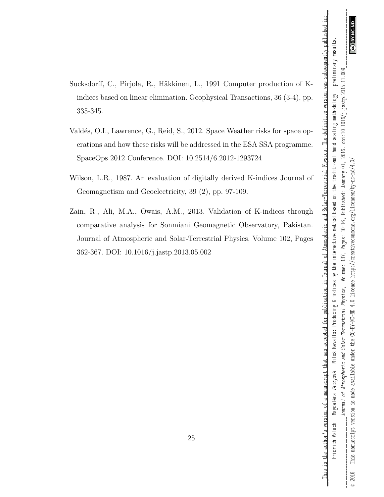This is the author's version of a manuscript that was accepted for publication in Journal of Atmospheric and Solar-Terrestrial Physics. The definitive version was subsequently published in

- <span id="page-24-1"></span>Sucksdorff, C., Pirjola, R., Häkkinen, L., 1991 Computer production of Kindices based on linear elimination. Geophysical Transactions, 36 (3-4), pp. 335-345.
- <span id="page-24-0"></span>Valdés, O.I., Lawrence, G., Reid, S., 2012. Space Weather risks for space operations and how these risks will be addressed in the ESA SSA programme. SpaceOps 2012 Conference. DOI: 10.2514/6.2012-1293724
- <span id="page-24-2"></span>Wilson, L.R., 1987. An evaluation of digitally derived K-indices Journal of Geomagnetism and Geoelectricity, 39 (2), pp. 97-109.
- <span id="page-24-3"></span>Zain, R., Ali, M.A., Owais, A.M., 2013. Validation of K-indices through comparative analysis for Sonmiani Geomagnetic Observatory, Pakistan. Journal of Atmospheric and Solar-Terrestrial Physics, Volume 102, Pages 362-367. DOI: 10.1016/j.jastp.2013.05.002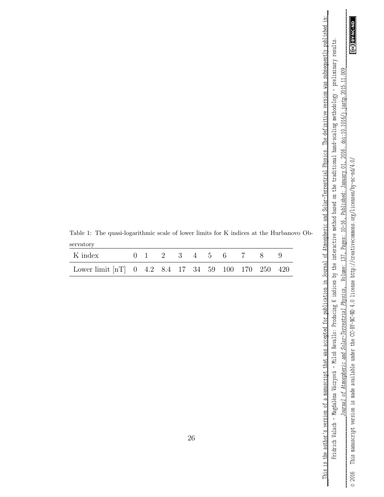$\frac{1}{2}$ 

Fridrich Valach - Magdaléna Váczyová - Miloš Revallo: Producing K indices by the interactive method based on the traditional hand-scaling methodology - preliminary results. Fridrich Valach – Magdaléna Váczyová – Miloš Revallo: Producing K indices by the interactive method based on the traditional hand-scaling methodology – preliminary results. 2016. doi:10.1016/j.jastp.2015.11.009

\_\_\_This is the author's version of a manuscript that was accepted for publication in Journal of Atmospheric and Solar-Terrestrial Physics. The definitive version was subsequently published in:\_\_ This is the author's version of a manuscript that was accepted for publication in Journal of Atmospheric and Solar-Terrestrial Physics. The definitive version was subsequently published in:

<span id="page-25-0"></span>Table 1: The quasi-logarithmic scale of lower limits for K indices at the Hurbanovo Observatory

| K index                                             |  |  |  |  | $0 \quad 1 \quad 2 \quad 3 \quad 4 \quad 5 \quad 6 \quad 7 \quad 8 \quad 9$ |  |
|-----------------------------------------------------|--|--|--|--|-----------------------------------------------------------------------------|--|
| Lower limit [nT] 0 4.2 8.4 17 34 59 100 170 250 420 |  |  |  |  |                                                                             |  |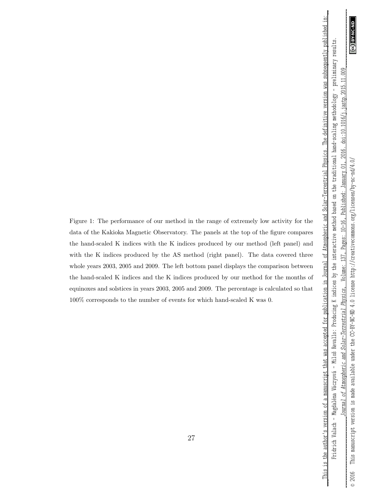ල

 $000$ 

\_\_\_This is the author's version of a manuscript that was accepted for publication in Journal of Atmospheric and Solar-Terrestrial Physics. The definitive version was subsequently published in:\_\_ Fridrich Valach – Magdaléna Váczyová – Miloš Revallo: Producing K indices by the interactive method based on the traditional hand-scaling methodology – preliminary results.

This is the author's version of a manuscript that was accepted for publication in Journal of Atmospheric and Solar-Terrestrial Physics. The definitive version was subsequently published in Fridrich Valach - Magdaléna Váczyová - Miloš Revallo: Producing K indices by the interactive method based on the traditional hand-scaling methodology - preliminary results.

<span id="page-26-0"></span>Figure 1: The performance of our method in the range of extremely low activity for the data of the Kakioka Magnetic Observatory. The panels at the top of the figure compares the hand-scaled K indices with the K indices produced by our method (left panel) and with the K indices produced by the AS method (right panel). The data covered three whole years 2003, 2005 and 2009. The left bottom panel displays the comparison between the hand-scaled K indices and the K indices produced by our method for the months of equinoxes and solstices in years 2003, 2005 and 2009. The percentage is calculated so that 100% corresponds to the number of events for which hand-scaled K was 0.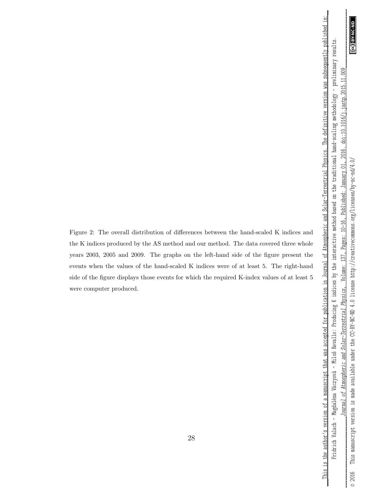*\_\_\_\_\_\_\_\_\_\_\_\_\_\_\_\_\_\_\_\_\_\_\_\_\_\_\_\_\_Journal of Atmospheric and Solar-Terrestrial Physics* , Volume: 137, Pages: 10–16, Published: January 01, 2016. doi:10.1016/j.jastp.2015.11.009\_\_\_\_\_\_\_\_\_\_\_\_\_\_\_\_\_\_\_\_\_\_\_\_ ම .009 doi:10.1016/j.jastp.2015.11. 2016. © 2016 This manuscript version is made available under the CC-BY-NC-ND 4.0 license http://creativecommons.org/licenses/by-nc-nd/4.0/ This manuscript version is made available under the CC-BY-NC-ND 4.0 license http://creativecommons.org/licenses/by-nc-nd/4.0/ January 01, Published: Pages: 10-16, Volume: 137, Physics, Solar-Terrestrial of Atmospheric and Journal

 $_{\odot}$  2016

\_\_\_This is the author's version of a manuscript that was accepted for publication in Journal of Atmospheric and Solar-Terrestrial Physics. The definitive version was subsequently published in:\_\_ This is the author's version of a manuscript that was accepted for publication in Journal of Atmospheric and Solar-Terrestrial Physics. The definitive version was subsequently published in: Fridrich Valach - Magdaléna Váczyová - Miloš Revallo: Producing K indices by the interactive method based on the traditional hand-scaling methodology - preliminary results. Fridrich Valach – Magdaléna Váczyová – Miloš Revallo: Producing K indices by the interactive method based on the traditional hand-scaling methodology – preliminary results.

<span id="page-27-0"></span>Figure 2: The overall distribution of differences between the hand-scaled K indices and the K indices produced by the AS method and our method. The data covered three whole years 2003, 2005 and 2009. The graphs on the left-hand side of the figure present the events when the values of the hand-scaled K indices were of at least 5. The right-hand side of the figure displays those events for which the required K-index values of at least 5 were computer produced.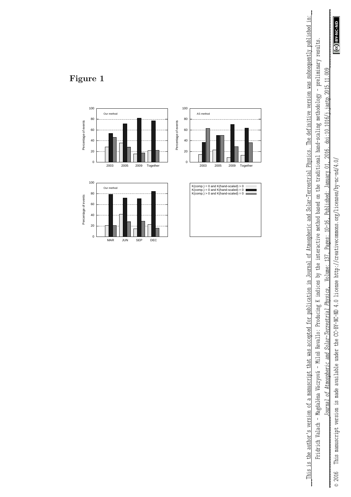GO BY-NC-ND

*\_\_\_\_\_\_\_\_\_\_\_\_\_\_\_\_\_\_\_\_\_\_\_\_\_\_\_\_\_Journal of Atmospheric and Solar-Terrestrial Physics* , Volume: 137, Pages: 10–16, Published: January 01, 2016. doi:10.1016/j.jastp.2015.11.009\_\_\_\_\_\_\_\_\_\_\_\_\_\_\_\_\_\_\_\_\_\_\_\_ .009 doi:10.1016/j.jastp.2015.11. Pages: 10-16, Published: January 01, 2016. Volume: 137, Journal of Atmospheric and Solar-Terrestrial Physics,

Fridrich Valach - Magdaléna Váczyová - Miloš Revallo: Producing K indices by the interactive method based on the traditional hand-scaling methodology - preliminary results. Fridrich Valach – Magdaléna Váczyová – Miloš Revallo: Producing K indices by the interactive method based on the traditional hand-scaling methodology – preliminary results.

\_\_\_This is the author's version of a manuscript that was accepted for publication in Journal of Atmospheric and Solar-Terrestrial Physics. The definitive version was subsequently published in:\_\_ This is the author's version of a manuscript that was accepted for publication in Journal of Atmospheric and Solar-Terrestrial Physics. The definitive version was subsequently published in:



## **Figure 1**